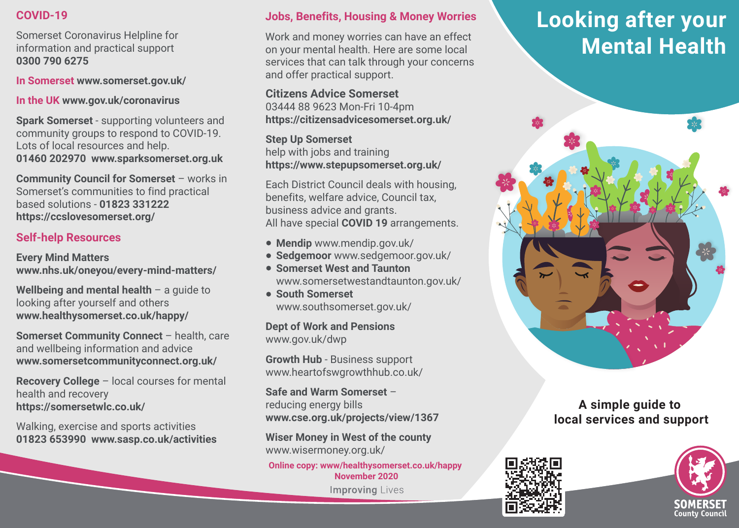#### **COVID-19**

Somerset Coronavirus Helpline for information and practical support **0300 790 6275**

**In Somerset www.somerset.gov.uk/**

**In the UK www.gov.uk/coronavirus**

**Spark Somerset** - supporting volunteers and community groups to respond to COVID-19. Lots of local resources and help. **01460 202970 www.sparksomerset.org.uk**

**Community Council for Somerset** – works in Somerset's communities to find practical based solutions - **01823 331222 https://ccslovesomerset.org/**

# **Self-help Resources**

l

**Every Mind Matters www.nhs.uk/oneyou/every-mind-matters/**

**Wellbeing and mental health** – a guide to looking after yourself and others **www.healthysomerset.co.uk/happy/**

**Somerset Community Connect** – health, care and wellbeing information and advice **www.somersetcommunityconnect.org.uk/**

**Recovery College** – local courses for mental health and recovery **https://somersetwlc.co.uk/** 

Walking, exercise and sports activities **01823 653990 www.sasp.co.uk/activities**

## **Jobs, Benefits, Housing & Money Worries**

Work and money worries can have an effect on your mental health. Here are some local services that can talk through your concerns and offer practical support.

**Citizens Advice Somerset**  03444 88 9623 Mon-Fri 10-4pm **https://citizensadvicesomerset.org.uk/**

**Step Up Somerset**  help with jobs and training **https://www.stepupsomerset.org.uk/**

Each District Council deals with housing, benefits, welfare advice, Council tax, business advice and grants. All have special **COVID 19** arrangements.

- **Mendip** www.mendip.gov.uk/
- **Sedgemoor** www.sedgemoor.gov.uk/
- **Somerset West and Taunton** www.somersetwestandtaunton.gov.uk/
- **South Somerset** www.southsomerset.gov.uk/

**Dept of Work and Pensions** www.gov.uk/dwp

**Growth Hub** - Business support www.heartofswgrowthhub.co.uk/

**Safe and Warm Somerset** – reducing energy bills **www.cse.org.uk/projects/view/1367**

**Wiser Money in West of the county**  www.wisermoney.org.uk/

**Online copy: www/healthysomerset.co.uk/happy November 2020Improving Lives** 

# **Looking after your Mental Health**



# **A simple guide to local services and support**